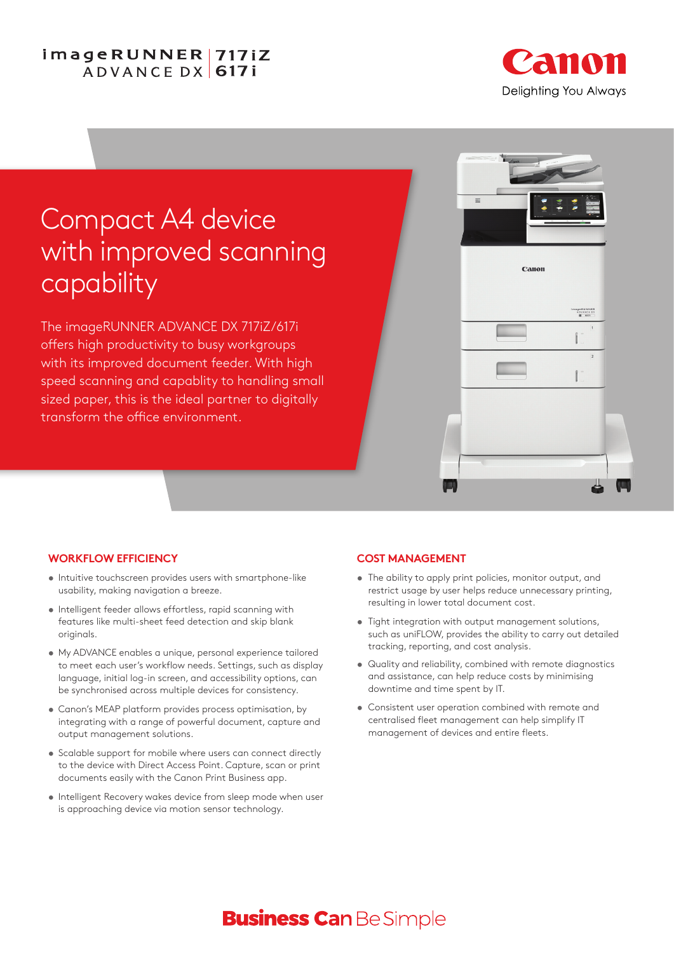## imageRUNNER | 717iZ ADVANCE DX 6171



# Compact A4 device with improved scanning capability

The imageRUNNER ADVANCE DX 717iZ/617i offers high productivity to busy workgroups with its improved document feeder. With high speed scanning and capablity to handling small sized paper, this is the ideal partner to digitally transform the office environment.



#### **WORKFLOW EFFICIENCY**

- **•** Intuitive touchscreen provides users with smartphone-like usability, making navigation a breeze.
- **•** Intelligent feeder allows effortless, rapid scanning with features like multi-sheet feed detection and skip blank originals.
- **•** My ADVANCE enables a unique, personal experience tailored to meet each user's workflow needs. Settings, such as display language, initial log-in screen, and accessibility options, can be synchronised across multiple devices for consistency.
- **•** Canon's MEAP platform provides process optimisation, by integrating with a range of powerful document, capture and output management solutions.
- **•** Scalable support for mobile where users can connect directly to the device with Direct Access Point. Capture, scan or print documents easily with the Canon Print Business app.
- **•** Intelligent Recovery wakes device from sleep mode when user is approaching device via motion sensor technology.

#### **COST MANAGEMENT**

- **•** The ability to apply print policies, monitor output, and restrict usage by user helps reduce unnecessary printing, resulting in lower total document cost.
- **•** Tight integration with output management solutions, such as uniFLOW, provides the ability to carry out detailed tracking, reporting, and cost analysis.
- **•** Quality and reliability, combined with remote diagnostics and assistance, can help reduce costs by minimising downtime and time spent by IT.
- **•** Consistent user operation combined with remote and centralised fleet management can help simplify IT management of devices and entire fleets.

## **Business Can Be Simple**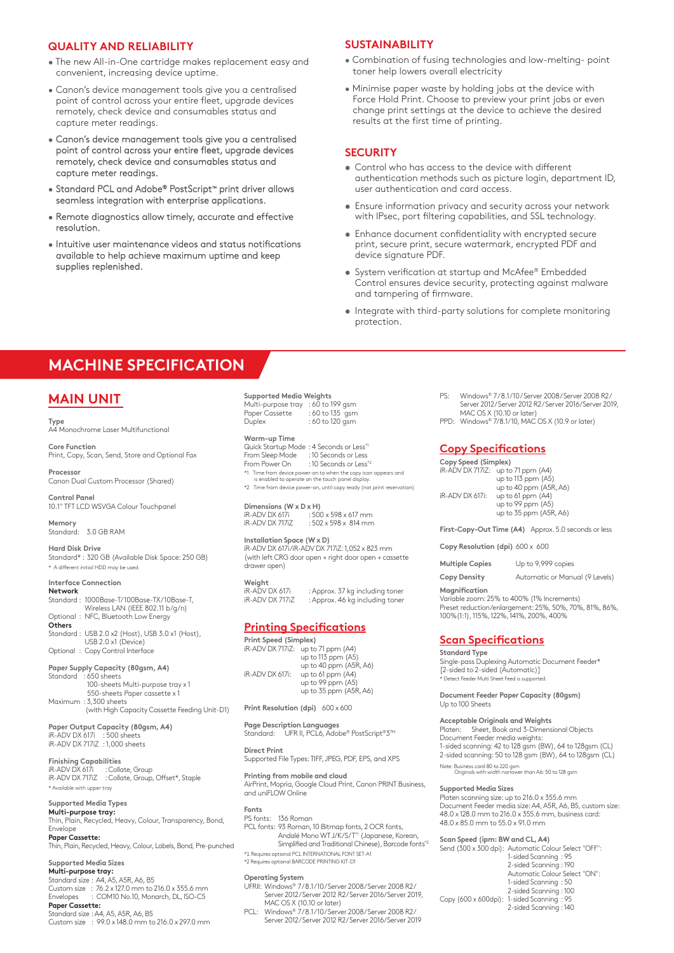#### **QUALITY AND RELIABILITY**

- The new All-in-One cartridge makes replacement easy and convenient, increasing device uptime.
- Canon's device management tools give you a centralised point of control across your entire fleet, upgrade devices remotely, check device and consumables status and capture meter readings.
- Canon's device management tools give you a centralised point of control across your entire fleet, upgrade devices remotely, check device and consumables status and capture meter readings.
- Standard PCL and Adobe® PostScript™ print driver allows seamless integration with enterprise applications.
- Remote diagnostics allow timely, accurate and effective resolution.
- Intuitive user maintenance videos and status notifications available to help achieve maximum uptime and keep supplies replenished.

#### **SUSTAINABILITY**

- Combination of fusing technologies and low-melting- point toner help lowers overall electricity
- Minimise paper waste by holding jobs at the device with Force Hold Print. Choose to preview your print jobs or even change print settings at the device to achieve the desired results at the first time of printing.

#### **SECURITY**

- **•** Control who has access to the device with different authentication methods such as picture login, department ID, user authentication and card access.
- **•** Ensure information privacy and security across your network with IPsec, port filtering capabilities, and SSL technology.
- **•** Enhance document confidentiality with encrypted secure print, secure print, secure watermark, encrypted PDF and device signature PDF.
- **•** System verification at startup and McAfee® Embedded Control ensures device security, protecting against malware and tampering of firmware.
- **•** Integrate with third-party solutions for complete monitoring protection.

## **MACHINE SPECIFICATION**

## **MAIN UNIT**

**Type** A4 Monochrome Laser Multifunctional

**Core Function** Print, Copy, Scan, Send, Store and Optional Fax

**Processor** Canon Dual Custom Processor (Shared)

**Control Panel** 10.1" TFT LCD WSVGA Colour Touchpanel

**Memory** Standard: 3.0 GB RAM

**Hard Disk Drive** Standard\* : 320 GB (Available Disk Space: 250 GB) \* A different initial HDD may be used.

#### **Interface Connection**

**Network** Standard : 1000Base-T/100Base-TX/10Base-T, Wireless LAN (IEEE 802.11 b/g/n) : NFC, Bluetooth Low Energy **Others** Standard : USB 2.0 x2 (Host), USB 3.0 x1 (Host), USB 2.0 x1 (Device) Optional : Copy Control Interface

**Paper Supply Capacity (80gsm, A4)** Standard : 650 sheets 100-sheets Multi-purpose tray x 1 550-sheets Paper cassette x 1 Maximum : 3,300 sheets

 (with High Capacity Cassette Feeding Unit-D1) **Paper Output Capacity (80gsm, A4)**

iR-ADV DX 617i : 500 sheets<br>iR-ADV DX 717iZ :1,000 sheets

**Finishing Capabilities** iR-ADV DX 617i : Collate, Group iR-ADV DX 717iZ : Collate, Group, Offset\*, Staple ble with upper tray

#### **Supported Media Types**

**Multi-purpose tray:** Thin, Plain, Recycled, Heavy, Colour, Transparency, Bond, Envelope **Paper Cassette:**

Thin, Plain, Recycled, Heavy, Colour, Labels, Bond, Pre-punched

### **Supported Media Sizes**

**Multi-purpose tray:** Standard size : A4, A5, A5R, A6, B5 Custom size : 76.2 x 127.0 mm to 216.0 x 355.6 mm Envelopes : COM10 No.10, Monarch, DL, ISO-C5 **Paper Cassette:**

Standard size : A4, A5, A5R, A6, B5 Custom size : 99.0 x 148.0 mm to 216.0 x 297.0 mm

**Supported Media Weights** Multi-purpose tray : 60 to 199 gsm<br>Paper Cassette : 60 to 135 gsm  $:60$  to 135 gsm Duplex : 60 to 120 gsm

#### **Warm-up Time**

Quick Startup Mode : 4 Seconds or Less\*1 From Sleep Mode : 10 Seconds or Less<br>From Power On : 10 Seconds or Less : 10 Seconds or Less\*2

\*1 Time from device power-on to when the copy icon appears and is enabled to operate on the touch panel display.

\*2 Time from device power-on, until copy ready (not print reservation)

**Dimensions (W x D x H)**<br>iR-ADV DX 617i : 500 iR-ADV DX 617i : 500 x 598 x 617 mm<br>iR-ADV DX 717iZ : 502 x 598 x 814 mm  $:502 \times 598 \times 814$  mm

#### **Installation Space (W x D)**

iR-ADV DX 617i /iR-ADV DX 717iZ: 1,052 x 823 mm (with left CRG door open + right door open + cassette drawer open)

**Weight**  ...<br>iR-ADV DX 617i : Approx. 37 kg including toner<br>iR-ADV DX 717iZ : Approx. 46 kg including toner in pprovide the angularizating toner

### **Printing Specifications**

**Print Speed (Simplex)**  iR-ADV DX 717iZ: up to 71 ppm (A4) up to 113 ppm (A5)  $up$  to 40 ppm (A5R, A6)<br>iR-ADV DX 617 $i$ : up to 61 ppm (A4) up to 15 ppm (A4) up to 99 ppm (A5) up to  $35$  ppm  $(ASR, A6)$ 

**Print Resolution (dpi)** 600 x 600

**Page Description Languages** UFR II, PCL6, Adobe® PostScript®3™

**Direct Print** Supported File Types: TIFF, JPEG, PDF, EPS, and XPS

**Printing from mobile and cloud** AirPrint, Mopria, Google Cloud Print, Canon PRINT Business, and uniFLOW Online

#### **Fonts** PS fonts: 136 Roman

PCL fonts: 93 Roman, 10 Bitmap fonts, 2 OCR fonts, Andalé Mono WT J/K/S/T\*1 (Japanese, Korean, Simplified and Traditional Chinese), Barcode fonts\*2 \*1 Requires optional PCL INTERNATIONAL FONT SET-A1 \*2 Requires optional BARCODE PRINTING KIT-D1

- **Operating System** UFRII: Windows® 7 / 8.1 /10 / Server 2008 / Server 2008 R2 / Server 2012/Server 2012 R2/Server 2016/Server 2019,
- MAC OS X (10.10 or later) PCL: Windows® 7 / 8.1 /10 / Server 2008 / Server 2008 R2 / Server 2012 / Server 2012 R2 / Server 2016/Server 2019
- PS: Windows® 7 / 8.1 /10 / Server 2008 / Server 2008 R2 / Server 2012 / Server 2012 R2 / Server 2016/Server 2019, MAC OS X (10.10 or later)
- PPD: Windows® 7/8.1/10, MAC OS X (10.9 or later)

#### **Copy Specifications**

**Copy Speed (Simplex)** iR-ADV DX 717iZ: up to 71 ppm (A4)

|                 | up to 113 ppm (A5)     |
|-----------------|------------------------|
|                 | up to 40 ppm (A5R, A6) |
| iR-ADV DX 617i: | up to 61 ppm (A4)      |
|                 | up to 99 ppm (A5)      |
|                 | up to 35 ppm (A5R, A6) |

**First-Copy-Out Time (A4)** Approx. 5.0 seconds or less

**Copy Resolution (dpi)** 600 x 600

**Multiple Copies** Up to 9,999 copies

**Copy Density** Automatic or Manual (9 Levels)

#### **Magnification**

Variable zoom: 25% to 400% (1% Increments) Preset reduction/enlargement: 25%, 50%, 70%, 81%, 86%, 100%(1:1), 115%, 122%, 141%, 200%, 400%

#### **Scan Specifications**

#### **Standard Type**

Single-pass Duplexing Automatic Document Feeder\* [2-sided to 2-sided (Automatic)] .<br>• Detect Feeder Multi Sheet Feed is su

**Document Feeder Paper Capacity (80gsm)** Up to 100 Sheets

**Acceptable Originals and Weights** Platen: Sheet, Book and 3-Dimensional Objects Document Feeder media weights: 1-sided scanning: 42 to 128 gsm (BW), 64 to 128gsm (CL) 2-sided scanning: 50 to 128 gsm (BW), 64 to 128gsm (CL)

Note: Business card 80 to 220 gsm Originals with width narrower than A6: 50 to 128 gsm

#### **Supported Media Sizes**

Platen scanning size: up to 216.0 x 355.6 mm Document Feeder media size: A4, A5R, A6, B5, custom size: 48.0 x 128.0 mm to 216.0 x 355.6 mm, business card: 48.0 x 85.0 mm to 55.0 x 91.0 mm

#### **Scan Speed (ipm: BW and CL, A4)**

Send (300 x 300 dpi): Automatic Colour Select "OFF": 1-sided Scanning : 95 2-sided Scanning : 190 Automatic Colour Select "ON": 1-sided Scanning : 50

2-sided Scanning : 100<br>Copy (600 x 600dpi): 1-sided Scanning : 95 1-sided Scanning : 95

2-sided Scanning : 140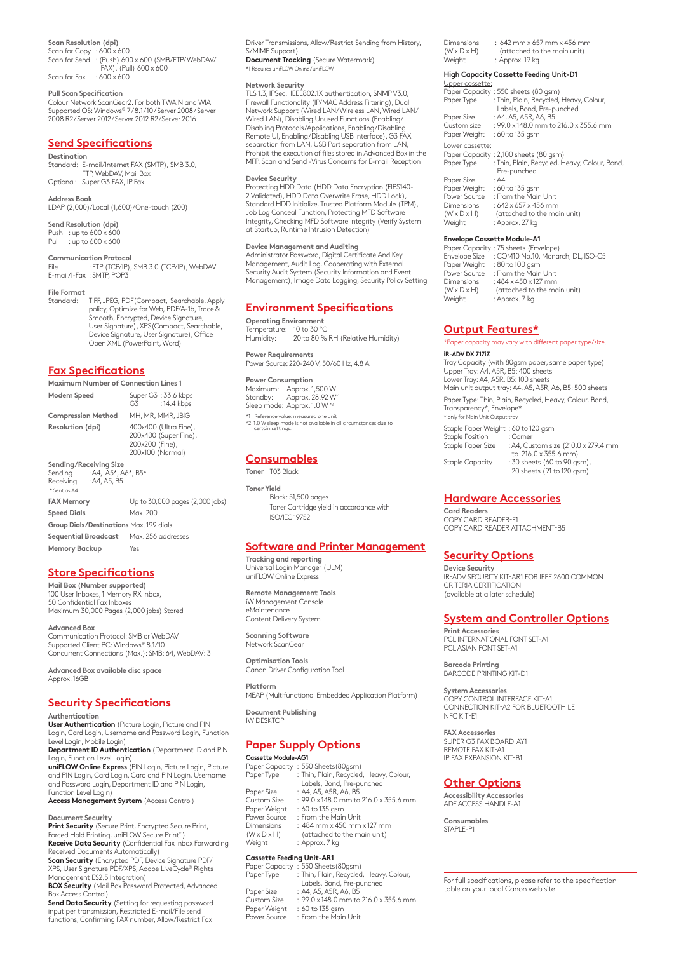**Scan Resolution (dpi)**

Scan for Copy : 600 x 600<br>Scan for Send : (Push) 60 : (Push) 600 x 600 (SMB/FTP/WebDAV/ IFAX), (Pull) 600 x 600 Scan for Fax : 600 x 600

### **Pull Scan Specification**

Colour Network ScanGear2. For both TWAIN and WIA Supported OS: Windows® 7/8.1/10/Server 2008/Server 2008 R2 / Server 2012 / Server 2012 R2 /Server 2016

### **Send Specifications**

**Destination** Standard: E-mail/Internet FAX (SMTP), SMB 3.0, FTP, WebDAV, Mail Box Optional: Super G3 FAX, IP Fax

**Address Book** LDAP (2,000)/Local (1,600)/One-touch (200)

**Send Resolution (dpi)** Push : up to  $600 \times 600$ <br>Pull : up to  $600 \times 600$ Pull : up to 600 x 600

**Communication Protocol** File : FTP (TCP/IP), SMB 3.0 (TCP/IP), WebDAV E-mail/I-Fax : SMTP, POP3

**File Format**

Standard: TIFF, JPEG, PDF(Compact, Searchable, Apply policy, Optimize for Web, PDF/A-1b, Trace & Smooth, Encrypted, Device Signature, User Signature), XPS(Compact, Searchable, Device Signature, User Signature), Office Open XML (PowerPoint, Word)

#### **Fax Specifications**

**Maximum Number of Connection Lines** 1

**Modem Speed** Super G3 : 33.6 kbps<br>G3 : 14.4 kbps : 14.4 kbps

**Compression Method** MH, MR, MMR, JBIG

**Resolution (dpi)** 400x400 (Ultra Fine), 200x400 (Super Fine), 200x200 (Fine), 200x100 (Normal)

**Sending/Receiving Size** Sending : A4, A5\*, A6\*, B5\*<br>Receiving : A4, A5, B5 Receiving \* Sent as A4

**FAX Memory** Up to 30,000 pages (2,000 jobs) **Speed Dials** Max. 200 **Group Dials/Destinations** Max. 199 dials **Sequential Broadcast** Max. 256 addresses

**Memory Backup** Yes

#### **Store Specifications**

**Mail Box (Number supported)** 100 User Inboxes, 1 Memory RX Inbox, 50 Confidential Fax Inboxes Maximum 30,000 Pages (2,000 jobs) Stored

**Advanced Box** Communication Protocol: SMB or WebDAV Supported Client PC: Windows® 8.1/10 Concurrent Connections (Max.): SMB: 64, WebDAV: 3

 **Advanced Box available disc space** Approx. 16GB

#### **Security Specifications**

**Authentication**

**User Authentication** (Picture Login, Picture and PIN Login, Card Login, Username and Password Login, Function Level Login, Mobile Login)

**Department ID Authentication** (Department ID and PIN Login, Function Level Login) **uniFLOW Online Express** (PIN Login, Picture Login, Picture

and PIN Login, Card Login, Card and PIN Login, Username and Password Login, Department ID and PIN Login,

Function Level Login) **Access Management System** (Access Control)

#### **Document Security**

**Print Security** (Secure Print, Encrypted Secure Print, Forced Hold Printing, uniFLOW Secure Print\*1) **Receive Data Security** (Confidential Fax Inbox Forwarding Received Documents Automatically)

**Scan Security** (Encrypted PDF, Device Signature PDF/ XPS, User Signature PDF/XPS, Adobe LiveCycle® Rights Management ES2.5 Integration)

**BOX Security** (Mail Box Password Protected, Advanced Box Access Control)

**Send Data Security** (Setting for requesting password input per transmission, Restricted E-mail/File send functions, Confirming FAX number, Allow/Restrict Fax

Driver Transmissions, Allow/Restrict Sending from History, S/MIME Support) **Document Tracking** (Secure Watermark)<br>\*1 Requires uniFLOW Online/uniFLOW

\*1 Requires uniFLOW Online / uniFLOW

#### **Network Security**

TLS 1.3, IPSec, IEEE802.1X authentication, SNMP V3.0, Firewall Functionality (IP/MAC Address Filtering), Dual Network Support (Wired LAN/Wireless LAN, Wired LAN/ Wired LAN), Disabling Unused Functions (Enabling/ Disabling Protocols/Applications, Enabling/Disabling Remote UI, Enabling/Disabling USB Interface), G3 FAX separation from LAN, USB Port separation from LAN, Prohibit the execution of files stored in Advanced Box in the MFP, Scan and Send -Virus Concerns for E-mail Reception

#### **Device Security**

Protecting HDD Data (HDD Data Encryption (FIPS140- 2 Validated), HDD Data Overwrite Erase, HDD Lock), Standard HDD Initialize, Trusted Platform Module (TPM), Job Log Conceal Function, Protecting MFD Software Integrity, Checking MFD Software Integrity (Verify System at Startup, Runtime Intrusion Detection)

**Device Management and Auditing** Administrator Password, Digital Certificate And Key Management, Audit Log, Cooperating with External Security Audit System (Security Information and Event Management), Image Data Logging, Security Policy Setting

#### **Environment Specifications**

**Operating Environment** Temperature: 10 to 30 °C Humidity: 20 to 80 % RH (Relative Humidity)

**Power Requirements** Power Source: 220-240 V, 50/60 Hz, 4.8 A

**Power Consumption<br>Maximum: Approx. 1,500 W<br>Standby: Approx. 28.92 W\*1** Sleep mode: Approx. 1.0 W<sup>\*2</sup>

\*1 Reference value: measured one unit \*2 1.0 W sleep mode is not available in all circumstances due to certain settings.

#### **Consumables Toner** T03 Black

**Toner Yield**  Black: 51,500 pages Toner Cartridge yield in accordance with ISO/IEC 19752

#### **Software and Printer Management**

**Tracking and reporting** Universal Login Manager (ULM) uniFLOW Online Express

**Remote Management Tools** iW Management Console eMaintenance Content Delivery System

**Scanning Software** Network ScanGear

**Optimisation Tools** Canon Driver Configuration Tool

**Platform** MEAP (Multifunctional Embedded Application Platform)

**Document Publishing** IW DESKTOP

#### **Paper Supply Options**

#### **Cassette Module-AG1**

|                         | Paper Capacity: 550 Sheets (80gsm)      |
|-------------------------|-----------------------------------------|
| Paper Type              | : Thin, Plain, Recycled, Heavy, Colour, |
|                         | Labels, Bond, Pre-punched               |
| Paper Size              | : A4, A5, A5R, A6, B5                   |
| Custom Size             | : 99.0 x 148.0 mm to 216.0 x 355.6 mm   |
| Paper Weight            | : 60 to 135 gsm                         |
| Power Source            | : From the Main Unit                    |
| Dimensions              | $: 484$ mm x 450 mm x 127 mm            |
| $(W \times D \times H)$ | (attached to the main unit)             |
| Weight                  | : Approx. 7 kg                          |

#### **Cassette Feeding Unit-AR1**

Paper Capacity : 550 Sheets(80gsm) Paper Type : Thin, Plain, Recycled, Heavy, Colour, Labels, Bond, Pre-punched

- Paper Size : A4, A5, A5R, A6, B5 Custom Size : 99.0 x 148.0 mm to 216.0 x 355.6 mm
- Paper Weight : 60 to 135 gsm<br>Power Source : From the Main : From the Main Unit

| <b>Dimensions</b>       | $: 642$ mm x 657 mm x 456 mm |
|-------------------------|------------------------------|
| $(W \times D \times H)$ | (attached to the main unit)  |
| Weight                  | : Approx. 19 kg              |

#### **High Capacity Cassette Feeding Unit-D1**

| Upper cassette:              |                                                                      |
|------------------------------|----------------------------------------------------------------------|
|                              | Paper Capacity: 550 sheets (80 gsm)                                  |
| Paper Type                   | : Thin, Plain, Recycled, Heavy, Colour,<br>Labels, Bond, Pre-punched |
| Paper Size                   | : A4, A5, A5R, A6, B5                                                |
| Custom size                  | $: 99.0 \times 148.0$ mm to $216.0 \times 355.6$ mm                  |
| Paper Weight                 | : 60 to 135 gsm                                                      |
| Lower cassette:              |                                                                      |
|                              | Paper Capacity: 2,100 sheets (80 gsm)                                |
| Paper Type                   | : Thin, Plain, Recycled, Heavy, Colour, Bond,                        |
|                              | Pre-punched                                                          |
| Paper Size                   | :AA                                                                  |
| Paper Weight : 60 to 135 gsm |                                                                      |
| Power Source                 | : From the Main Unit                                                 |
|                              |                                                                      |

Dimensions  $: 642 \times 657 \times 456$  mm<br>(W  $\times$  D  $\times$  H) (attached to the ma (W x D x H) (attached to the main unit) Weight : Approx. 27 kg

#### **Envelope Cassette Module-A1**

|                         | Paper Capacity: 75 sheets (Envelope) |
|-------------------------|--------------------------------------|
| Envelope Size           | : COM10 No.10, Monarch, DL, ISO-C5   |
| Paper Weight            | : 80 to 100 gsm                      |
| Power Source            | : From the Main Unit                 |
| Dimensions              | $:484\times450\times127$ mm          |
| $(W \times D \times H)$ | (attached to the main unit)          |
| Weight                  | : Approx. 7 kg                       |

#### **Output Features\***

er capacity may vary with different paper type/size. **iR-ADV DX 717iZ** Tray Capacity (with 80gsm paper, same paper type) Upper Tray: A4, A5R, B5: 400 sheets Lower Tray: A4, A5R, B5: 100 sheets Main unit output tray: A4, A5, A5R, A6, B5: 500 sheets Paper Type: Thin, Plain, Recycled, Heavy, Colour, Bond, Transparency\*, Envelope\* \* only for Main Unit Output tray Staple Paper Weight : 60 to 120 gsm Staple Position<br>Staple Paper Size : A4, Custom size (210.0 x 279.4 mm to 216.0 x 355.6 mm) Staple Capacity : 30 sheets (60 to 90 gsm),

20 sheets (91 to 120 gsm)

#### **Hardware Accessories**

**Card Readers** COPY CARD READER-F1 COPY CARD READER ATTACHMENT-B5

#### **Security Options**

**Device Security** IR-ADV SECURITY KIT-AR1 FOR IEEE 2600 COMMON CRITERIA CERTIFICATION (available at a later schedule)

#### **System and Controller Options**

**Print Accessories** PCL INTERNATIONAL FONT SET-A1 PCL ASIAN FONT SET-A1

**Barcode Printing** BARCODE PRINTING KIT-D1

**System Accessories** COPY CONTROL INTERFACE KIT-A1 CONNECTION KIT-A2 FOR BLUETOOTH LE NFC KIT-E1

**FAX Accessories** SUPER G3 FAX BOARD-AY1 REMOTE FAX KIT-A1 IP FAX EXPANSION KIT-B1

#### **Other Options**

**Accessibility Accessories** ADF ACCESS HANDLE-A1

**Consumables** STAPLE-P1

For full specifications, please refer to the specification table on your local Canon web site.